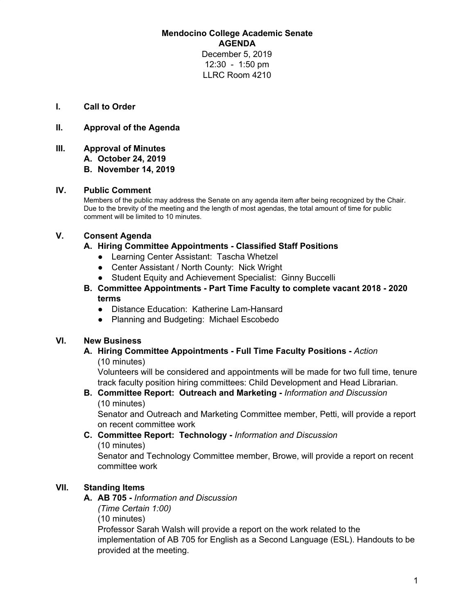**Mendocino College Academic Senate AGENDA** December 5, 2019 12:30 - 1:50 pm LLRC Room 4210

**I. Call to Order**

### **II. Approval of the Agenda**

**III. Approval of Minutes**

**A. October 24, 2019**

**B. November 14, 2019**

#### **IV. Public Comment**

Members of the public may address the Senate on any agenda item after being recognized by the Chair. Due to the brevity of the meeting and the length of most agendas, the total amount of time for public comment will be limited to 10 minutes.

### **V. Consent Agenda**

#### **A. Hiring Committee Appointments - Classified Staff Positions**

- Learning Center Assistant: Tascha Whetzel
- Center Assistant / North County: Nick Wright
- Student Equity and Achievement Specialist: Ginny Buccelli
- **B. Committee Appointments - Part Time Faculty to complete vacant 2018 - 2020 terms**
	- Distance Education: Katherine Lam-Hansard
	- Planning and Budgeting: Michael Escobedo

### **VI. New Business**

**A. Hiring Committee Appointments - Full Time Faculty Positions -** *Action* (10 minutes)

Volunteers will be considered and appointments will be made for two full time, tenure track faculty position hiring committees: Child Development and Head Librarian.

## **B. Committee Report: Outreach and Marketing -** *Information and Discussion* (10 minutes)

Senator and Outreach and Marketing Committee member, Petti, will provide a report on recent committee work

#### **C. Committee Report: Technology -** *Information and Discussion* (10 minutes)

Senator and Technology Committee member, Browe, will provide a report on recent committee work

## **VII. Standing Items**

#### **A. AB 705 -** *Information and Discussion*

*(Time Certain 1:00)*

(10 minutes)

Professor Sarah Walsh will provide a report on the work related to the implementation of AB 705 for English as a Second Language (ESL). Handouts to be provided at the meeting.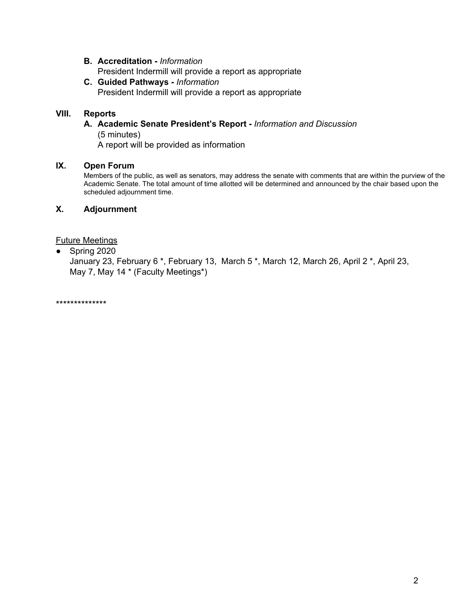- **B. Accreditation -** *Information* President Indermill will provide a report as appropriate
- **C. Guided Pathways -** *Information* President Indermill will provide a report as appropriate

# **VIII. Reports**

#### **A. Academic Senate President's Report -** *Information and Discussion* (5 minutes)

A report will be provided as information

## **IX. Open Forum**

Members of the public, as well as senators, may address the senate with comments that are within the purview of the Academic Senate. The total amount of time allotted will be determined and announced by the chair based upon the scheduled adjournment time.

# **X. Adjournment**

## Future Meetings

● Spring 2020

January 23, February 6 \*, February 13, March 5 \*, March 12, March 26, April 2 \*, April 23, May 7, May 14 \* (Faculty Meetings\*)

\*\*\*\*\*\*\*\*\*\*\*\*\*\*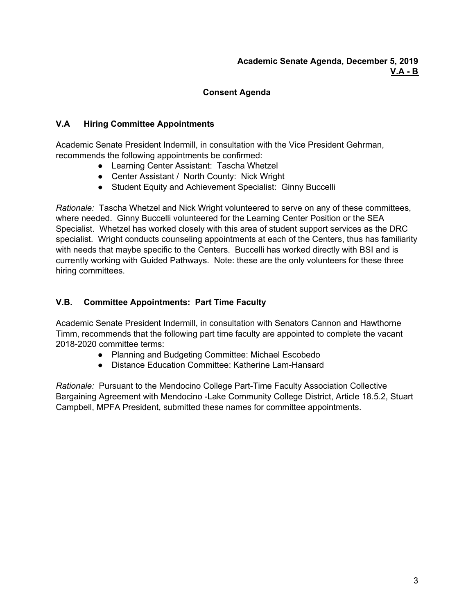# **Consent Agenda**

## **V.A Hiring Committee Appointments**

Academic Senate President Indermill, in consultation with the Vice President Gehrman, recommends the following appointments be confirmed:

- Learning Center Assistant: Tascha Whetzel
- Center Assistant / North County: Nick Wright
- Student Equity and Achievement Specialist: Ginny Buccelli

*Rationale:* Tascha Whetzel and Nick Wright volunteered to serve on any of these committees, where needed. Ginny Buccelli volunteered for the Learning Center Position or the SEA Specialist. Whetzel has worked closely with this area of student support services as the DRC specialist. Wright conducts counseling appointments at each of the Centers, thus has familiarity with needs that maybe specific to the Centers. Buccelli has worked directly with BSI and is currently working with Guided Pathways. Note: these are the only volunteers for these three hiring committees.

## **V.B. Committee Appointments: Part Time Faculty**

Academic Senate President Indermill, in consultation with Senators Cannon and Hawthorne Timm, recommends that the following part time faculty are appointed to complete the vacant 2018-2020 committee terms:

- Planning and Budgeting Committee: Michael Escobedo
- Distance Education Committee: Katherine Lam-Hansard

*Rationale:* Pursuant to the Mendocino College Part-Time Faculty Association Collective Bargaining Agreement with Mendocino -Lake Community College District, Article 18.5.2, Stuart Campbell, MPFA President, submitted these names for committee appointments.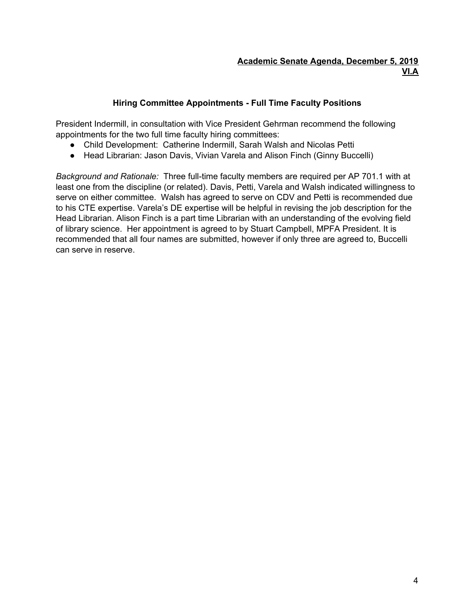# **Hiring Committee Appointments - Full Time Faculty Positions**

President Indermill, in consultation with Vice President Gehrman recommend the following appointments for the two full time faculty hiring committees:

- Child Development: Catherine Indermill, Sarah Walsh and Nicolas Petti
- Head Librarian: Jason Davis, Vivian Varela and Alison Finch (Ginny Buccelli)

*Background and Rationale:* Three full-time faculty members are required per AP 701.1 with at least one from the discipline (or related). Davis, Petti, Varela and Walsh indicated willingness to serve on either committee. Walsh has agreed to serve on CDV and Petti is recommended due to his CTE expertise. Varela's DE expertise will be helpful in revising the job description for the Head Librarian. Alison Finch is a part time Librarian with an understanding of the evolving field of library science. Her appointment is agreed to by Stuart Campbell, MPFA President. It is recommended that all four names are submitted, however if only three are agreed to, Buccelli can serve in reserve.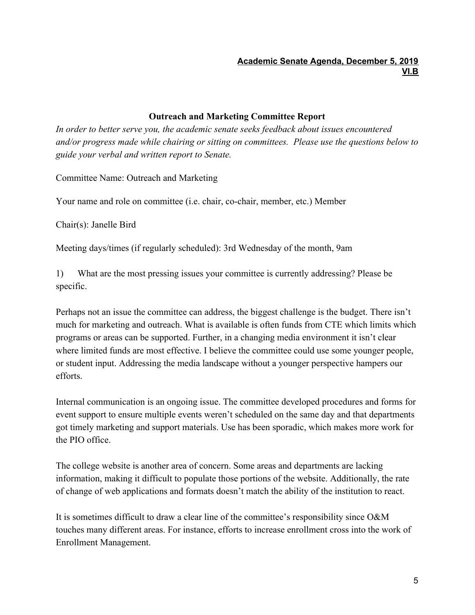# **Outreach and Marketing Committee Report**

*In order to better serve you, the academic senate seeks feedback about issues encountered and/or progress made while chairing or sitting on committees. Please use the questions below to guide your verbal and written report to Senate.*

Committee Name: Outreach and Marketing

Your name and role on committee (i.e. chair, co-chair, member, etc.) Member

Chair(s): Janelle Bird

Meeting days/times (if regularly scheduled): 3rd Wednesday of the month, 9am

1) What are the most pressing issues your committee is currently addressing? Please be specific.

Perhaps not an issue the committee can address, the biggest challenge is the budget. There isn't much for marketing and outreach. What is available is often funds from CTE which limits which programs or areas can be supported. Further, in a changing media environment it isn't clear where limited funds are most effective. I believe the committee could use some younger people, or student input. Addressing the media landscape without a younger perspective hampers our efforts.

Internal communication is an ongoing issue. The committee developed procedures and forms for event support to ensure multiple events weren't scheduled on the same day and that departments got timely marketing and support materials. Use has been sporadic, which makes more work for the PIO office.

The college website is another area of concern. Some areas and departments are lacking information, making it difficult to populate those portions of the website. Additionally, the rate of change of web applications and formats doesn't match the ability of the institution to react.

It is sometimes difficult to draw a clear line of the committee's responsibility since O&M touches many different areas. For instance, efforts to increase enrollment cross into the work of Enrollment Management.